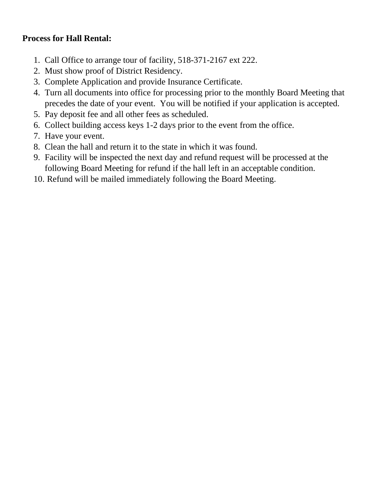## **Process for Hall Rental:**

- 1. Call Office to arrange tour of facility, 518-371-2167 ext 222.
- 2. Must show proof of District Residency.
- 3. Complete Application and provide Insurance Certificate.
- 4. Turn all documents into office for processing prior to the monthly Board Meeting that precedes the date of your event. You will be notified if your application is accepted.
- 5. Pay deposit fee and all other fees as scheduled.
- 6. Collect building access keys 1-2 days prior to the event from the office.
- 7. Have your event.
- 8. Clean the hall and return it to the state in which it was found.
- 9. Facility will be inspected the next day and refund request will be processed at the following Board Meeting for refund if the hall left in an acceptable condition.
- 10. Refund will be mailed immediately following the Board Meeting.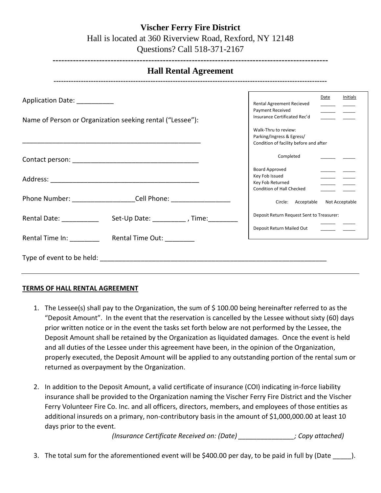| VISCHEF FEFFY FIFE DISTRICT                                                                     |
|-------------------------------------------------------------------------------------------------|
| Hall is located at 360 Riverview Road, Rexford, NY 12148                                        |
| $Q_{\text{unco}}^2$ $Q_{\text{e}}^2$ $Q_{\text{e}}^2$ $I_1$ $I_2$ $I_3$ $I_4$ $I_5$ $I_6$ $I_7$ |

**Vischer Ferry Fire District**

| Questions? Call 518-371-2167 |  |
|------------------------------|--|
|                              |  |

| Application Date: ___________ |                                                                    | Date<br>Initials<br>Rental Agreement Recieved                       |
|-------------------------------|--------------------------------------------------------------------|---------------------------------------------------------------------|
|                               |                                                                    | Payment Received<br>Insurance Certificated Rec'd                    |
|                               | Name of Person or Organization seeking rental ("Lessee"):          |                                                                     |
|                               |                                                                    | Walk-Thru to review:                                                |
|                               |                                                                    | Parking/Ingress & Egress/<br>Condition of facility before and after |
|                               |                                                                    | Completed                                                           |
|                               |                                                                    | <b>Board Approved</b>                                               |
|                               |                                                                    | Key Fob Issued                                                      |
|                               |                                                                    | Key Fob Returned<br>Condition of Hall Checked                       |
|                               | Phone Number: _____________________Cell Phone: ___________________ | Circle: Acceptable<br>Not Acceptable                                |
| Rental Date: New York 1997    | Set-Up Date: ___________, Time: ________                           | Deposit Return Request Sent to Treasurer:                           |
|                               |                                                                    | Deposit Return Mailed Out<br><b>Contract Contract Contract</b>      |
|                               | Rental Time In: Rental Time Out:                                   |                                                                     |

## **TERMS OF HALL RENTAL AGREEMENT**

- 1. The Lessee(s) shall pay to the Organization, the sum of \$ 100.00 being hereinafter referred to as the "Deposit Amount". In the event that the reservation is cancelled by the Lessee without sixty (60) days prior written notice or in the event the tasks set forth below are not performed by the Lessee, the Deposit Amount shall be retained by the Organization as liquidated damages. Once the event is held and all duties of the Lessee under this agreement have been, in the opinion of the Organization, properly executed, the Deposit Amount will be applied to any outstanding portion of the rental sum or returned as overpayment by the Organization.
- 2. In addition to the Deposit Amount, a valid certificate of insurance (COI) indicating in-force liability insurance shall be provided to the Organization naming the Vischer Ferry Fire District and the Vischer Ferry Volunteer Fire Co. Inc. and all officers, directors, members, and employees of those entities as additional insureds on a primary, non-contributory basis in the amount of \$1,000,000.00 at least 10 days prior to the event.

*(Insurance Certificate Received on: (Date) \_\_\_\_\_\_\_\_\_\_\_\_\_\_\_; Copy attached)*

3. The total sum for the aforementioned event will be \$400.00 per day, to be paid in full by (Date  $\qquad$  ).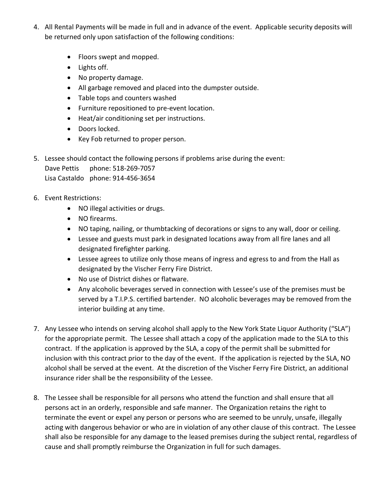- 4. All Rental Payments will be made in full and in advance of the event. Applicable security deposits will be returned only upon satisfaction of the following conditions:
	- Floors swept and mopped.
	- Lights off.
	- No property damage.
	- All garbage removed and placed into the dumpster outside.
	- Table tops and counters washed
	- Furniture repositioned to pre-event location.
	- Heat/air conditioning set per instructions.
	- Doors locked.
	- Key Fob returned to proper person.
- 5. Lessee should contact the following persons if problems arise during the event: Dave Pettis phone: 518-269-7057 Lisa Castaldo phone: 914-456-3654
- 6. Event Restrictions:
	- NO illegal activities or drugs.
	- NO firearms.
	- NO taping, nailing, or thumbtacking of decorations or signs to any wall, door or ceiling.
	- Lessee and guests must park in designated locations away from all fire lanes and all designated firefighter parking.
	- Lessee agrees to utilize only those means of ingress and egress to and from the Hall as designated by the Vischer Ferry Fire District.
	- No use of District dishes or flatware.
	- Any alcoholic beverages served in connection with Lessee's use of the premises must be served by a T.I.P.S. certified bartender. NO alcoholic beverages may be removed from the interior building at any time.
- 7. Any Lessee who intends on serving alcohol shall apply to the New York State Liquor Authority ("SLA") for the appropriate permit. The Lessee shall attach a copy of the application made to the SLA to this contract. If the application is approved by the SLA, a copy of the permit shall be submitted for inclusion with this contract prior to the day of the event. If the application is rejected by the SLA, NO alcohol shall be served at the event. At the discretion of the Vischer Ferry Fire District, an additional insurance rider shall be the responsibility of the Lessee.
- 8. The Lessee shall be responsible for all persons who attend the function and shall ensure that all persons act in an orderly, responsible and safe manner. The Organization retains the right to terminate the event or expel any person or persons who are seemed to be unruly, unsafe, illegally acting with dangerous behavior or who are in violation of any other clause of this contract. The Lessee shall also be responsible for any damage to the leased premises during the subject rental, regardless of cause and shall promptly reimburse the Organization in full for such damages.